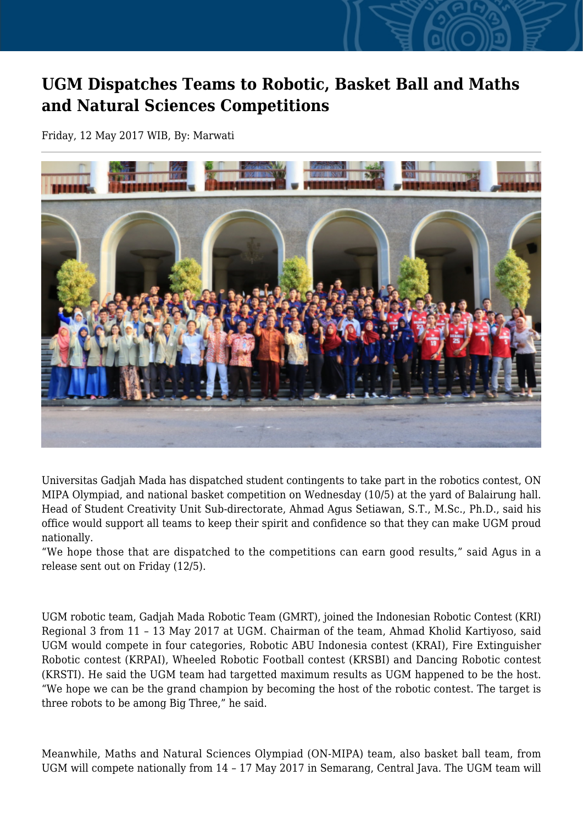## **UGM Dispatches Teams to Robotic, Basket Ball and Maths and Natural Sciences Competitions**

Friday, 12 May 2017 WIB, By: Marwati



Universitas Gadjah Mada has dispatched student contingents to take part in the robotics contest, ON MIPA Olympiad, and national basket competition on Wednesday (10/5) at the yard of Balairung hall. Head of Student Creativity Unit Sub-directorate, Ahmad Agus Setiawan, S.T., M.Sc., Ph.D., said his office would support all teams to keep their spirit and confidence so that they can make UGM proud nationally.

"We hope those that are dispatched to the competitions can earn good results," said Agus in a release sent out on Friday (12/5).

UGM robotic team, Gadjah Mada Robotic Team (GMRT), joined the Indonesian Robotic Contest (KRI) Regional 3 from 11 – 13 May 2017 at UGM. Chairman of the team, Ahmad Kholid Kartiyoso, said UGM would compete in four categories, Robotic ABU Indonesia contest (KRAI), Fire Extinguisher Robotic contest (KRPAI), Wheeled Robotic Football contest (KRSBI) and Dancing Robotic contest (KRSTI). He said the UGM team had targetted maximum results as UGM happened to be the host. "We hope we can be the grand champion by becoming the host of the robotic contest. The target is three robots to be among Big Three," he said.

Meanwhile, Maths and Natural Sciences Olympiad (ON-MIPA) team, also basket ball team, from UGM will compete nationally from 14 – 17 May 2017 in Semarang, Central Java. The UGM team will